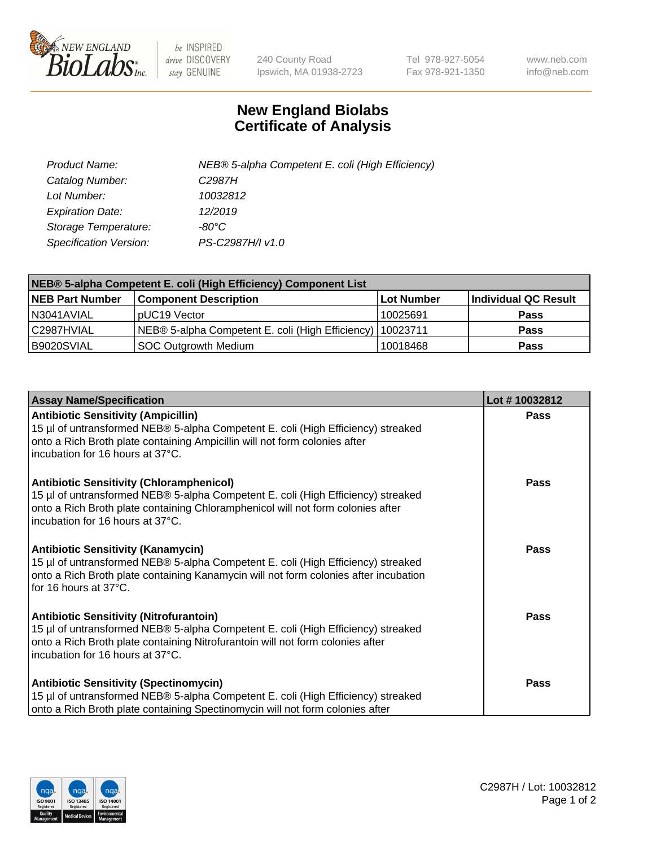

 $be$  INSPIRED drive DISCOVERY stay GENUINE

240 County Road Ipswich, MA 01938-2723 Tel 978-927-5054 Fax 978-921-1350 www.neb.com info@neb.com

## **New England Biolabs Certificate of Analysis**

| Product Name:           | NEB® 5-alpha Competent E. coli (High Efficiency) |
|-------------------------|--------------------------------------------------|
| Catalog Number:         | C <sub>2987</sub> H                              |
| Lot Number:             | 10032812                                         |
| <b>Expiration Date:</b> | 12/2019                                          |
| Storage Temperature:    | -80°C                                            |
| Specification Version:  | PS-C2987H/I v1.0                                 |

| NEB® 5-alpha Competent E. coli (High Efficiency) Component List |                                                             |            |                      |  |
|-----------------------------------------------------------------|-------------------------------------------------------------|------------|----------------------|--|
| <b>NEB Part Number</b>                                          | <b>Component Description</b>                                | Lot Number | Individual QC Result |  |
| N3041AVIAL                                                      | pUC19 Vector                                                | 10025691   | <b>Pass</b>          |  |
| C2987HVIAL                                                      | NEB® 5-alpha Competent E. coli (High Efficiency)   10023711 |            | <b>Pass</b>          |  |
| B9020SVIAL                                                      | <b>SOC Outgrowth Medium</b>                                 | 10018468   | <b>Pass</b>          |  |

| <b>Assay Name/Specification</b>                                                                                                                                                                                                                            | Lot #10032812 |
|------------------------------------------------------------------------------------------------------------------------------------------------------------------------------------------------------------------------------------------------------------|---------------|
| <b>Antibiotic Sensitivity (Ampicillin)</b><br>15 µl of untransformed NEB® 5-alpha Competent E. coli (High Efficiency) streaked<br>onto a Rich Broth plate containing Ampicillin will not form colonies after<br>incubation for 16 hours at 37°C.           | <b>Pass</b>   |
| <b>Antibiotic Sensitivity (Chloramphenicol)</b><br>15 µl of untransformed NEB® 5-alpha Competent E. coli (High Efficiency) streaked<br>onto a Rich Broth plate containing Chloramphenicol will not form colonies after<br>incubation for 16 hours at 37°C. | Pass          |
| <b>Antibiotic Sensitivity (Kanamycin)</b><br>15 µl of untransformed NEB® 5-alpha Competent E. coli (High Efficiency) streaked<br>onto a Rich Broth plate containing Kanamycin will not form colonies after incubation<br>for 16 hours at 37°C.             | <b>Pass</b>   |
| <b>Antibiotic Sensitivity (Nitrofurantoin)</b><br>15 µl of untransformed NEB® 5-alpha Competent E. coli (High Efficiency) streaked<br>onto a Rich Broth plate containing Nitrofurantoin will not form colonies after<br>incubation for 16 hours at 37°C.   | Pass          |
| <b>Antibiotic Sensitivity (Spectinomycin)</b><br>15 µl of untransformed NEB® 5-alpha Competent E. coli (High Efficiency) streaked<br>onto a Rich Broth plate containing Spectinomycin will not form colonies after                                         | <b>Pass</b>   |